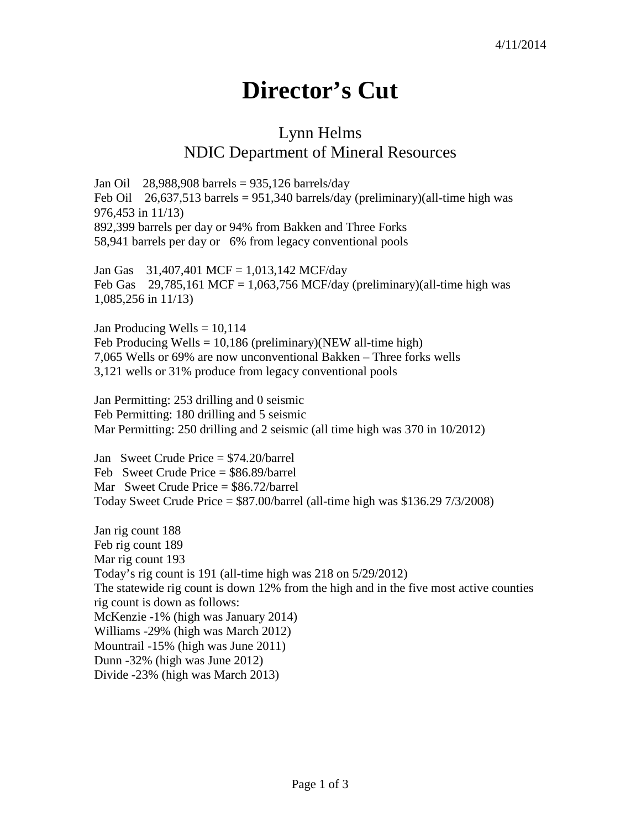## **Director's Cut**

## Lynn Helms NDIC Department of Mineral Resources

Jan Oil 28,988,908 barrels = 935,126 barrels/day Feb Oil 26,637,513 barrels = 951,340 barrels/day (preliminary)(all-time high was 976,453 in 11/13) 892,399 barrels per day or 94% from Bakken and Three Forks 58,941 barrels per day or 6% from legacy conventional pools

Jan Gas 31,407,401 MCF = 1,013,142 MCF/day Feb Gas  $29,785,161$  MCF = 1,063,756 MCF/day (preliminary)(all-time high was 1,085,256 in 11/13)

Jan Producing Wells  $= 10,114$ Feb Producing Wells =  $10,186$  (preliminary)(NEW all-time high) 7,065 Wells or 69% are now unconventional Bakken – Three forks wells 3,121 wells or 31% produce from legacy conventional pools

Jan Permitting: 253 drilling and 0 seismic Feb Permitting: 180 drilling and 5 seismic Mar Permitting: 250 drilling and 2 seismic (all time high was 370 in 10/2012)

Jan Sweet Crude Price = \$74.20/barrel Feb Sweet Crude Price = \$86.89/barrel Mar Sweet Crude Price = \$86.72/barrel Today Sweet Crude Price  $= $87.00/b$ arrel (all-time high was \$136.29 7/3/2008)

Jan rig count 188 Feb rig count 189 Mar rig count 193 Today's rig count is 191 (all-time high was 218 on 5/29/2012) The statewide rig count is down 12% from the high and in the five most active counties rig count is down as follows: McKenzie -1% (high was January 2014) Williams -29% (high was March 2012) Mountrail -15% (high was June 2011) Dunn -32% (high was June 2012) Divide -23% (high was March 2013)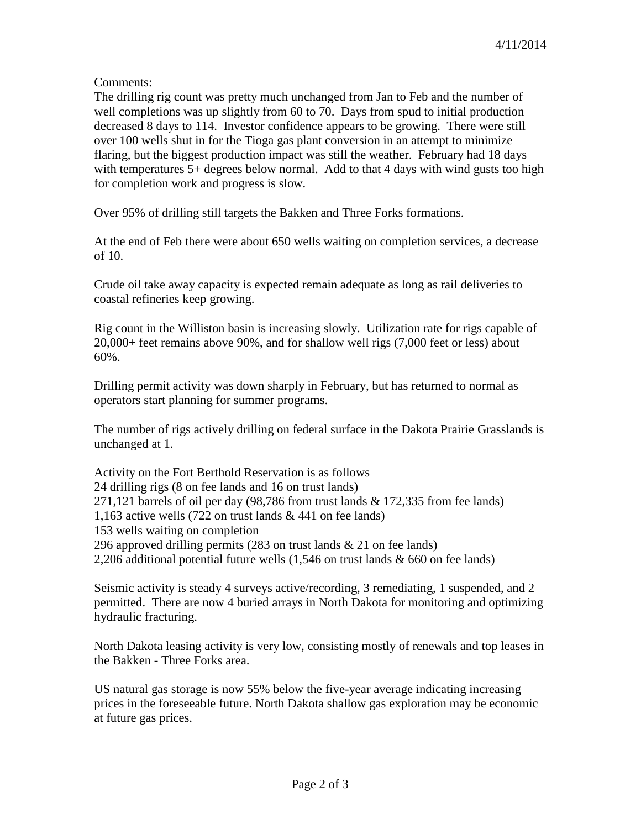Comments:

The drilling rig count was pretty much unchanged from Jan to Feb and the number of well completions was up slightly from 60 to 70. Days from spud to initial production decreased 8 days to 114. Investor confidence appears to be growing. There were still over 100 wells shut in for the Tioga gas plant conversion in an attempt to minimize flaring, but the biggest production impact was still the weather. February had 18 days with temperatures 5+ degrees below normal. Add to that 4 days with wind gusts too high for completion work and progress is slow.

Over 95% of drilling still targets the Bakken and Three Forks formations.

At the end of Feb there were about 650 wells waiting on completion services, a decrease of 10.

Crude oil take away capacity is expected remain adequate as long as rail deliveries to coastal refineries keep growing.

Rig count in the Williston basin is increasing slowly. Utilization rate for rigs capable of 20,000+ feet remains above 90%, and for shallow well rigs (7,000 feet or less) about 60%.

Drilling permit activity was down sharply in February, but has returned to normal as operators start planning for summer programs.

The number of rigs actively drilling on federal surface in the Dakota Prairie Grasslands is unchanged at 1.

Activity on the Fort Berthold Reservation is as follows 24 drilling rigs (8 on fee lands and 16 on trust lands) 271,121 barrels of oil per day (98,786 from trust lands & 172,335 from fee lands) 1,163 active wells (722 on trust lands & 441 on fee lands) 153 wells waiting on completion 296 approved drilling permits (283 on trust lands & 21 on fee lands) 2,206 additional potential future wells (1,546 on trust lands & 660 on fee lands)

Seismic activity is steady 4 surveys active/recording, 3 remediating, 1 suspended, and 2 permitted. There are now 4 buried arrays in North Dakota for monitoring and optimizing hydraulic fracturing.

North Dakota leasing activity is very low, consisting mostly of renewals and top leases in the Bakken - Three Forks area.

US natural gas storage is now 55% below the five-year average indicating increasing prices in the foreseeable future. North Dakota shallow gas exploration may be economic at future gas prices.